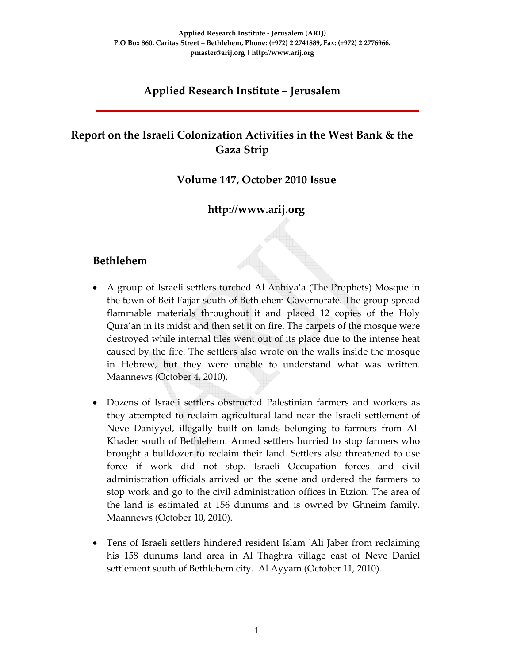### **Applied Research Institute – Jerusalem**

# **Report on the Israeli Colonization Activities in the West Bank & the Gaza Strip**

#### **Volume 147, October 2010 Issue**

### **http://www.arij.org**

#### **Bethlehem**

- A group of Israeli settlers torched Al Anbiya'a (The Prophets) Mosque in the town of Beit Fajjar south of Bethlehem Governorate. The group spread flammable materials throughout it and placed 12 copies of the Holy Qura'an in its midst and then set it on fire. The carpets of the mosque were destroyed while internal tiles went out of its place due to the intense heat caused by the fire. The settlers also wrote on the walls inside the mosque in Hebrew, but they were unable to understand what was written. Maannews (October 4, 2010).
- Dozens of Israeli settlers obstructed Palestinian farmers and workers as they attempted to reclaim agricultural land near the Israeli settlement of Neve Daniyyel, illegally built on lands belonging to farmers from Al‐ Khader south of Bethlehem. Armed settlers hurried to stop farmers who brought a bulldozer to reclaim their land. Settlers also threatened to use force if work did not stop. Israeli Occupation forces and civil administration officials arrived on the scene and ordered the farmers to stop work and go to the civil administration offices in Etzion. The area of the land is estimated at 156 dunums and is owned by Ghneim family. Maannews (October 10, 2010).
- Tens of Israeli settlers hindered resident Islam 'Ali Jaber from reclaiming his 158 dunums land area in Al Thaghra village east of Neve Daniel settlement south of Bethlehem city. Al Ayyam (October 11, 2010).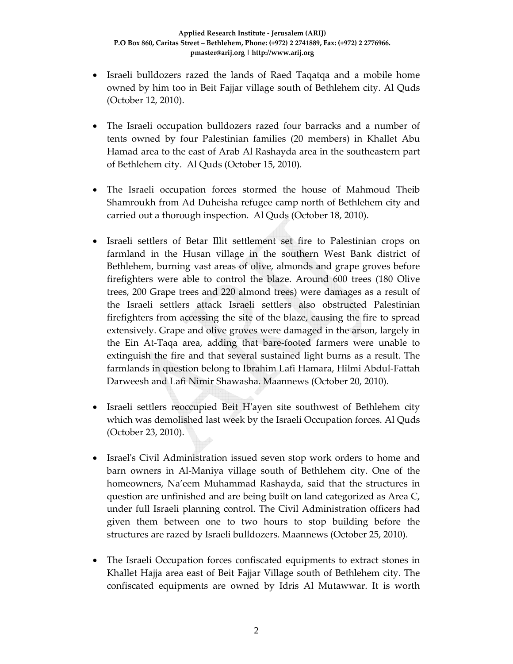- Israeli bulldozers razed the lands of Raed Taqatqa and a mobile home owned by him too in Beit Fajjar village south of Bethlehem city. Al Quds (October 12, 2010).
- The Israeli occupation bulldozers razed four barracks and a number of tents owned by four Palestinian families (20 members) in Khallet Abu Hamad area to the east of Arab Al Rashayda area in the southeastern part of Bethlehem city. Al Quds (October 15, 2010).
- The Israeli occupation forces stormed the house of Mahmoud Theib Shamroukh from Ad Duheisha refugee camp north of Bethlehem city and carried out a thorough inspection. Al Quds (October 18, 2010).
- Israeli settlers of Betar Illit settlement set fire to Palestinian crops on farmland in the Husan village in the southern West Bank district of Bethlehem, burning vast areas of olive, almonds and grape groves before firefighters were able to control the blaze. Around 600 trees (180 Olive trees, 200 Grape trees and 220 almond trees) were damages as a result of the Israeli settlers attack Israeli settlers also obstructed Palestinian firefighters from accessing the site of the blaze, causing the fire to spread extensively. Grape and olive groves were damaged in the arson, largely in the Ein At‐Taqa area, adding that bare‐footed farmers were unable to extinguish the fire and that several sustained light burns as a result. The farmlands in question belong to Ibrahim Lafi Hamara, Hilmi Abdul‐Fattah Darweesh and Lafi Nimir Shawasha. Maannews (October 20, 2010).
- Israeli settlers reoccupied Beit H'ayen site southwest of Bethlehem city which was demolished last week by the Israeli Occupation forces. Al Quds (October 23, 2010).
- Israel's Civil Administration issued seven stop work orders to home and barn owners in Al‐Maniya village south of Bethlehem city. One of the homeowners, Na'eem Muhammad Rashayda, said that the structures in question are unfinished and are being built on land categorized as Area C, under full Israeli planning control. The Civil Administration officers had given them between one to two hours to stop building before the structures are razed by Israeli bulldozers. Maannews (October 25, 2010).
- The Israeli Occupation forces confiscated equipments to extract stones in Khallet Hajja area east of Beit Fajjar Village south of Bethlehem city. The confiscated equipments are owned by Idris Al Mutawwar. It is worth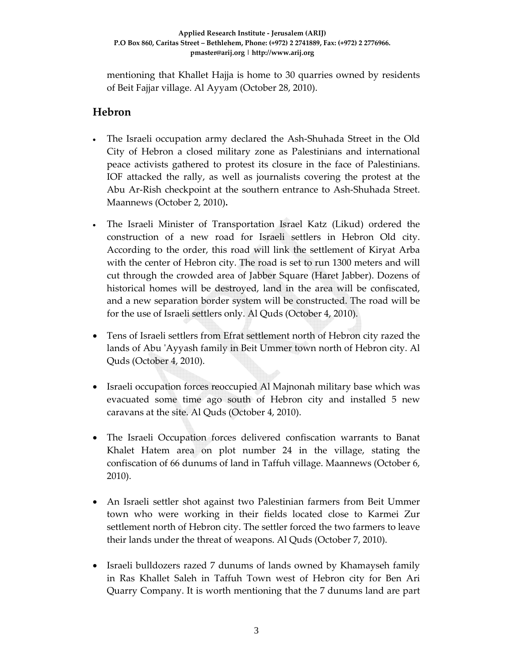mentioning that Khallet Hajja is home to 30 quarries owned by residents of Beit Fajjar village. Al Ayyam (October 28, 2010).

#### **Hebron**

- The Israeli occupation army declared the Ash-Shuhada Street in the Old City of Hebron a closed military zone as Palestinians and international peace activists gathered to protest its closure in the face of Palestinians. IOF attacked the rally, as well as journalists covering the protest at the Abu Ar‐Rish checkpoint at the southern entrance to Ash‐Shuhada Street. Maannews (October 2, 2010)**.**
- The Israeli Minister of Transportation Israel Katz (Likud) ordered the construction of a new road for Israeli settlers in Hebron Old city. According to the order, this road will link the settlement of Kiryat Arba with the center of Hebron city. The road is set to run 1300 meters and will cut through the crowded area of Jabber Square (Haret Jabber). Dozens of historical homes will be destroyed, land in the area will be confiscated, and a new separation border system will be constructed. The road will be for the use of Israeli settlers only. Al Quds (October 4, 2010).
- Tens of Israeli settlers from Efrat settlement north of Hebron city razed the lands of Abu 'Ayyash family in Beit Ummer town north of Hebron city. Al Quds (October 4, 2010).
- Israeli occupation forces reoccupied Al Majnonah military base which was evacuated some time ago south of Hebron city and installed 5 new caravans at the site. Al Quds (October 4, 2010).
- The Israeli Occupation forces delivered confiscation warrants to Banat Khalet Hatem area on plot number 24 in the village, stating the confiscation of 66 dunums of land in Taffuh village. Maannews (October 6, 2010).
- An Israeli settler shot against two Palestinian farmers from Beit Ummer town who were working in their fields located close to Karmei Zur settlement north of Hebron city. The settler forced the two farmers to leave their lands under the threat of weapons. Al Quds (October 7, 2010).
- Israeli bulldozers razed 7 dunums of lands owned by Khamayseh family in Ras Khallet Saleh in Taffuh Town west of Hebron city for Ben Ari Quarry Company. It is worth mentioning that the 7 dunums land are part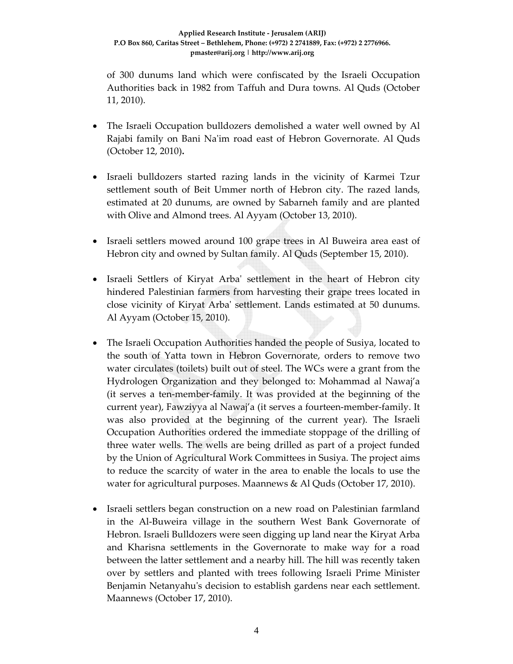of 300 dunums land which were confiscated by the Israeli Occupation Authorities back in 1982 from Taffuh and Dura towns. Al Quds (October 11, 2010).

- The Israeli Occupation bulldozers demolished a water well owned by Al Rajabi family on Bani Naʹim road east of Hebron Governorate. Al Quds (October 12, 2010)**.**
- Israeli bulldozers started razing lands in the vicinity of Karmei Tzur settlement south of Beit Ummer north of Hebron city. The razed lands, estimated at 20 dunums, are owned by Sabarneh family and are planted with Olive and Almond trees. Al Ayyam (October 13, 2010).
- Israeli settlers mowed around 100 grape trees in Al Buweira area east of Hebron city and owned by Sultan family. Al Quds (September 15, 2010).
- Israeli Settlers of Kiryat Arba' settlement in the heart of Hebron city hindered Palestinian farmers from harvesting their grape trees located in close vicinity of Kiryat Arbaʹ settlement. Lands estimated at 50 dunums. Al Ayyam (October 15, 2010).
- The Israeli Occupation Authorities handed the people of Susiya, located to the south of Yatta town in Hebron Governorate, orders to remove two water circulates (toilets) built out of steel. The WCs were a grant from the Hydrologen Organization and they belonged to: Mohammad al Nawaj'a (it serves a ten‐member‐family. It was provided at the beginning of the current year), Fawziyya al Nawaj'a (it serves a fourteen‐member‐family. It was also provided at the beginning of the current year). The Israeli Occupation Authorities ordered the immediate stoppage of the drilling of three water wells. The wells are being drilled as part of a project funded by the Union of Agricultural Work Committees in Susiya. The project aims to reduce the scarcity of water in the area to enable the locals to use the water for agricultural purposes. Maannews & Al Quds (October 17, 2010).
- Israeli settlers began construction on a new road on Palestinian farmland in the Al-Buweira village in the southern West Bank Governorate of Hebron. Israeli Bulldozers were seen digging up land near the Kiryat Arba and Kharisna settlements in the Governorate to make way for a road between the latter settlement and a nearby hill. The hill was recently taken over by settlers and planted with trees following Israeli Prime Minister Benjamin Netanyahu's decision to establish gardens near each settlement. Maannews (October 17, 2010).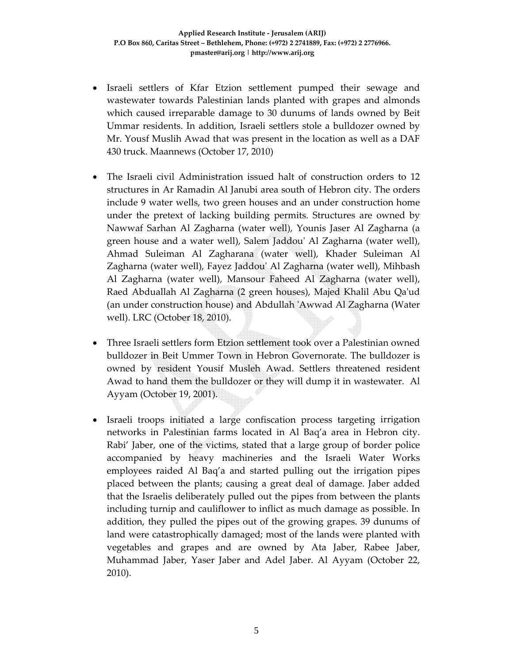- Israeli settlers of Kfar Etzion settlement pumped their sewage and wastewater towards Palestinian lands planted with grapes and almonds which caused irreparable damage to 30 dunums of lands owned by Beit Ummar residents. In addition, Israeli settlers stole a bulldozer owned by Mr. Yousf Muslih Awad that was present in the location as well as a DAF 430 truck. Maannews (October 17, 2010)
- The Israeli civil Administration issued halt of construction orders to 12 structures in Ar Ramadin Al Janubi area south of Hebron city. The orders include 9 water wells, two green houses and an under construction home under the pretext of lacking building permits. Structures are owned by Nawwaf Sarhan Al Zagharna (water well), Younis Jaser Al Zagharna (a green house and a water well), Salem Jaddouʹ Al Zagharna (water well), Ahmad Suleiman Al Zagharana (water well), Khader Suleiman Al Zagharna (water well), Fayez Jaddouʹ Al Zagharna (water well), Mihbash Al Zagharna (water well), Mansour Faheed Al Zagharna (water well), Raed Abduallah Al Zagharna (2 green houses), Majed Khalil Abu Qaʹud (an under construction house) and Abdullah ʹAwwad Al Zagharna (Water well). LRC (October 18, 2010).
- Three Israeli settlers form Etzion settlement took over a Palestinian owned bulldozer in Beit Ummer Town in Hebron Governorate. The bulldozer is owned by resident Yousif Musleh Awad. Settlers threatened resident Awad to hand them the bulldozer or they will dump it in wastewater. Al Ayyam (October 19, 2001).
- Israeli troops initiated a large confiscation process targeting irrigation networks in Palestinian farms located in Al Baq'a area in Hebron city. Rabi' Jaber, one of the victims, stated that a large group of border police accompanied by heavy machineries and the Israeli Water Works employees raided Al Baq'a and started pulling out the irrigation pipes placed between the plants; causing a great deal of damage. Jaber added that the Israelis deliberately pulled out the pipes from between the plants including turnip and cauliflower to inflict as much damage as possible. In addition, they pulled the pipes out of the growing grapes. 39 dunums of land were catastrophically damaged; most of the lands were planted with vegetables and grapes and are owned by Ata Jaber, Rabee Jaber, Muhammad Jaber, Yaser Jaber and Adel Jaber. Al Ayyam (October 22, 2010).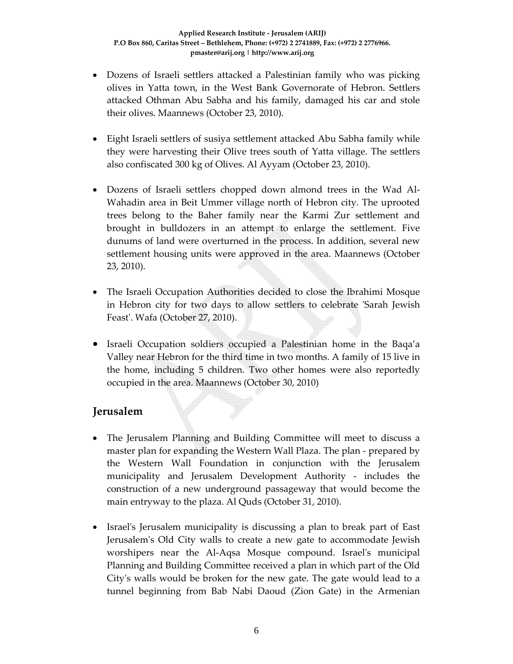- Dozens of Israeli settlers attacked a Palestinian family who was picking olives in Yatta town, in the West Bank Governorate of Hebron. Settlers attacked Othman Abu Sabha and his family, damaged his car and stole their olives. Maannews (October 23, 2010).
- Eight Israeli settlers of susiya settlement attacked Abu Sabha family while they were harvesting their Olive trees south of Yatta village. The settlers also confiscated 300 kg of Olives. Al Ayyam (October 23, 2010).
- Dozens of Israeli settlers chopped down almond trees in the Wad Al-Wahadin area in Beit Ummer village north of Hebron city. The uprooted trees belong to the Baher family near the Karmi Zur settlement and brought in bulldozers in an attempt to enlarge the settlement. Five dunums of land were overturned in the process. In addition, several new settlement housing units were approved in the area. Maannews (October 23, 2010).
- The Israeli Occupation Authorities decided to close the Ibrahimi Mosque in Hebron city for two days to allow settlers to celebrate 'Sarah Jewish Feast'. Wafa (October 27, 2010).
- Israeli Occupation soldiers occupied a Palestinian home in the Baqa'a Valley near Hebron for the third time in two months. A family of 15 live in the home, including 5 children. Two other homes were also reportedly occupied in the area. Maannews (October 30, 2010)

### **Jerusalem**

- The Jerusalem Planning and Building Committee will meet to discuss a master plan for expanding the Western Wall Plaza. The plan ‐ prepared by the Western Wall Foundation in conjunction with the Jerusalem municipality and Jerusalem Development Authority ‐ includes the construction of a new underground passageway that would become the main entryway to the plaza. Al Quds (October 31, 2010).
- Israel's Jerusalem municipality is discussing a plan to break part of East Jerusalemʹs Old City walls to create a new gate to accommodate Jewish worshipers near the Al-Aqsa Mosque compound. Israel's municipal Planning and Building Committee received a plan in which part of the Old Cityʹs walls would be broken for the new gate. The gate would lead to a tunnel beginning from Bab Nabi Daoud (Zion Gate) in the Armenian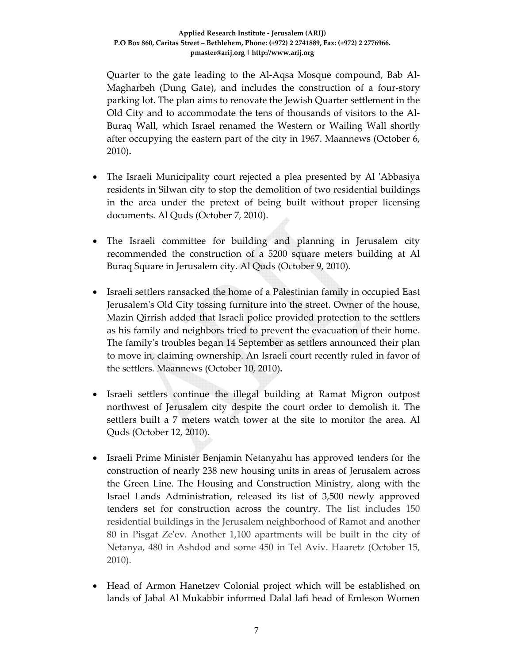Quarter to the gate leading to the Al‐Aqsa Mosque compound, Bab Al‐ Magharbeh (Dung Gate), and includes the construction of a four-story parking lot. The plan aims to renovate the Jewish Quarter settlement in the Old City and to accommodate the tens of thousands of visitors to the Al‐ Buraq Wall, which Israel renamed the Western or Wailing Wall shortly after occupying the eastern part of the city in 1967. Maannews (October 6, 2010)**.**

- The Israeli Municipality court rejected a plea presented by Al 'Abbasiya residents in Silwan city to stop the demolition of two residential buildings in the area under the pretext of being built without proper licensing documents. Al Quds (October 7, 2010).
- The Israeli committee for building and planning in Jerusalem city recommended the construction of a 5200 square meters building at Al Buraq Square in Jerusalem city. Al Quds (October 9, 2010).
- Israeli settlers ransacked the home of a Palestinian family in occupied East Jerusalemʹs Old City tossing furniture into the street. Owner of the house, Mazin Qirrish added that Israeli police provided protection to the settlers as his family and neighbors tried to prevent the evacuation of their home. The familyʹs troubles began 14 September as settlers announced their plan to move in, claiming ownership. An Israeli court recently ruled in favor of the settlers. Maannews (October 10, 2010)**.**
- Israeli settlers continue the illegal building at Ramat Migron outpost northwest of Jerusalem city despite the court order to demolish it. The settlers built a 7 meters watch tower at the site to monitor the area. Al Quds (October 12, 2010).
- Israeli Prime Minister Benjamin Netanyahu has approved tenders for the construction of nearly 238 new housing units in areas of Jerusalem across the Green Line. The Housing and Construction Ministry, along with the Israel Lands Administration, released its list of 3,500 newly approved tenders set for construction across the country. The list includes 150 residential buildings in the Jerusalem neighborhood of Ramot and another 80 in Pisgat Zeʹev. Another 1,100 apartments will be built in the city of Netanya, 480 in Ashdod and some 450 in Tel Aviv. Haaretz (October 15, 2010).
- Head of Armon Hanetzev Colonial project which will be established on lands of Jabal Al Mukabbir informed Dalal lafi head of Emleson Women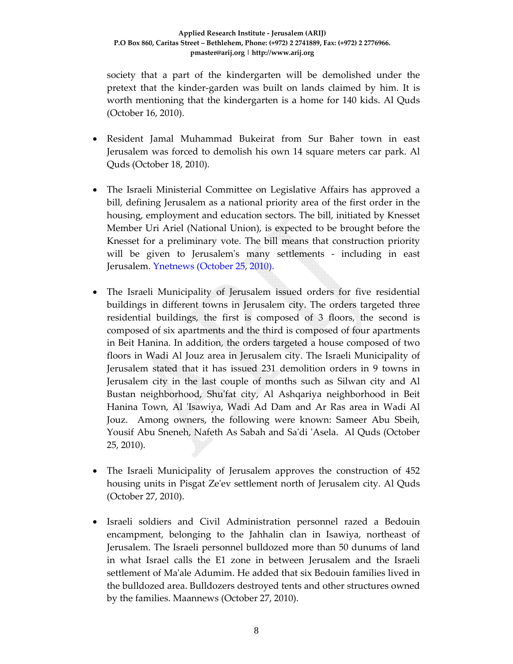society that a part of the kindergarten will be demolished under the pretext that the kinder‐garden was built on lands claimed by him. It is worth mentioning that the kindergarten is a home for 140 kids. Al Quds (October 16, 2010).

- Resident Jamal Muhammad Bukeirat from Sur Baher town in east Jerusalem was forced to demolish his own 14 square meters car park. Al Quds (October 18, 2010).
- The Israeli Ministerial Committee on Legislative Affairs has approved a bill, defining Jerusalem as a national priority area of the first order in the housing, employment and education sectors. The bill, initiated by Knesset Member Uri Ariel (National Union), is expected to be brought before the Knesset for a preliminary vote. The bill means that construction priority will be given to Jerusalem's many settlements - including in east Jerusalem. Ynetnews (October 25, 2010).
- The Israeli Municipality of Jerusalem issued orders for five residential buildings in different towns in Jerusalem city. The orders targeted three residential buildings, the first is composed of 3 floors, the second is composed of six apartments and the third is composed of four apartments in Beit Hanina. In addition, the orders targeted a house composed of two floors in Wadi Al Jouz area in Jerusalem city. The Israeli Municipality of Jerusalem stated that it has issued 231 demolition orders in 9 towns in Jerusalem city in the last couple of months such as Silwan city and Al Bustan neighborhood, Shuʹfat city, Al Ashqariya neighborhood in Beit Hanina Town, Al ʹIsawiya, Wadi Ad Dam and Ar Ras area in Wadi Al Jouz. Among owners, the following were known: Sameer Abu Sbeih, Yousif Abu Sneneh, Nafeth As Sabah and Saʹdi ʹAsela. Al Quds (October 25, 2010).
- The Israeli Municipality of Jerusalem approves the construction of 452 housing units in Pisgat Zeʹev settlement north of Jerusalem city. Al Quds (October 27, 2010).
- Israeli soldiers and Civil Administration personnel razed a Bedouin encampment, belonging to the Jahhalin clan in Isawiya, northeast of Jerusalem. The Israeli personnel bulldozed more than 50 dunums of land in what Israel calls the E1 zone in between Jerusalem and the Israeli settlement of Maʹale Adumim. He added that six Bedouin families lived in the bulldozed area. Bulldozers destroyed tents and other structures owned by the families. Maannews (October 27, 2010).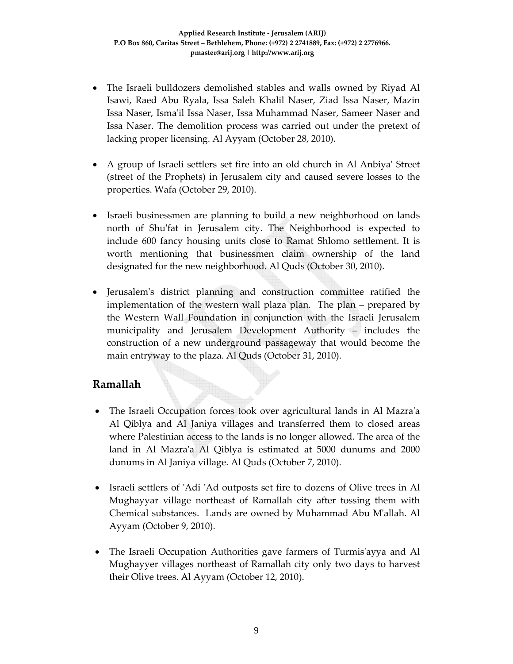- The Israeli bulldozers demolished stables and walls owned by Riyad Al Isawi, Raed Abu Ryala, Issa Saleh Khalil Naser, Ziad Issa Naser, Mazin Issa Naser, Ismaʹil Issa Naser, Issa Muhammad Naser, Sameer Naser and Issa Naser. The demolition process was carried out under the pretext of lacking proper licensing. Al Ayyam (October 28, 2010).
- A group of Israeli settlers set fire into an old church in Al Anbiyaʹ Street (street of the Prophets) in Jerusalem city and caused severe losses to the properties. Wafa (October 29, 2010).
- Israeli businessmen are planning to build a new neighborhood on lands north of Shuʹfat in Jerusalem city. The Neighborhood is expected to include 600 fancy housing units close to Ramat Shlomo settlement. It is worth mentioning that businessmen claim ownership of the land designated for the new neighborhood. Al Quds (October 30, 2010).
- Jerusalem's district planning and construction committee ratified the implementation of the western wall plaza plan. The plan – prepared by the Western Wall Foundation in conjunction with the Israeli Jerusalem municipality and Jerusalem Development Authority – includes the construction of a new underground passageway that would become the main entryway to the plaza. Al Quds (October 31, 2010).

### **Ramallah**

- The Israeli Occupation forces took over agricultural lands in Al Mazraʹa Al Qiblya and Al Janiya villages and transferred them to closed areas where Palestinian access to the lands is no longer allowed. The area of the land in Al Mazraʹa Al Qiblya is estimated at 5000 dunums and 2000 dunums in Al Janiya village. Al Quds (October 7, 2010).
- Israeli settlers of 'Adi 'Ad outposts set fire to dozens of Olive trees in Al Mughayyar village northeast of Ramallah city after tossing them with Chemical substances. Lands are owned by Muhammad Abu Mʹallah. Al Ayyam (October 9, 2010).
- The Israeli Occupation Authorities gave farmers of Turmisʹayya and Al Mughayyer villages northeast of Ramallah city only two days to harvest their Olive trees. Al Ayyam (October 12, 2010).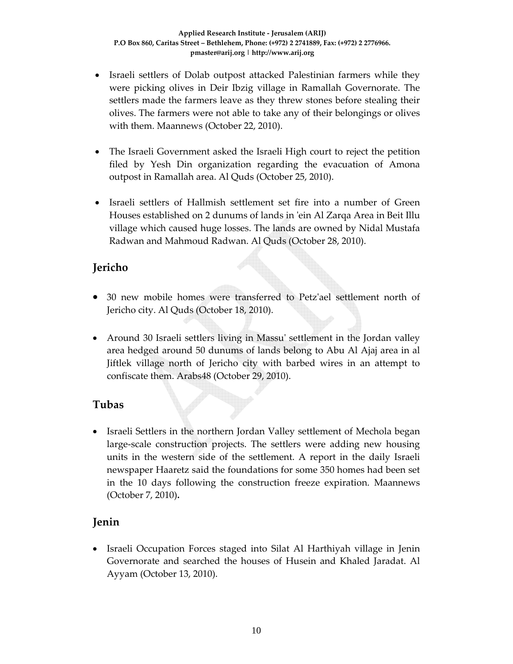- Israeli settlers of Dolab outpost attacked Palestinian farmers while they were picking olives in Deir Ibzig village in Ramallah Governorate. The settlers made the farmers leave as they threw stones before stealing their olives. The farmers were not able to take any of their belongings or olives with them. Maannews (October 22, 2010).
- The Israeli Government asked the Israeli High court to reject the petition filed by Yesh Din organization regarding the evacuation of Amona outpost in Ramallah area. Al Quds (October 25, 2010).
- Israeli settlers of Hallmish settlement set fire into a number of Green Houses established on 2 dunums of lands in ʹein Al Zarqa Area in Beit Illu village which caused huge losses. The lands are owned by Nidal Mustafa Radwan and Mahmoud Radwan. Al Quds (October 28, 2010).

### **Jericho**

- 30 new mobile homes were transferred to Petzʹael settlement north of Jericho city. Al Quds (October 18, 2010).
- Around 30 Israeli settlers living in Massu' settlement in the Jordan valley area hedged around 50 dunums of lands belong to Abu Al Ajaj area in al Jiftlek village north of Jericho city with barbed wires in an attempt to confiscate them. Arabs48 (October 29, 2010).

# **Tubas**

• Israeli Settlers in the northern Jordan Valley settlement of Mechola began large‐scale construction projects. The settlers were adding new housing units in the western side of the settlement. A report in the daily Israeli newspaper Haaretz said the foundations for some 350 homes had been set in the 10 days following the construction freeze expiration. Maannews (October 7, 2010)**.**

# **Jenin**

• Israeli Occupation Forces staged into Silat Al Harthiyah village in Jenin Governorate and searched the houses of Husein and Khaled Jaradat. Al Ayyam (October 13, 2010).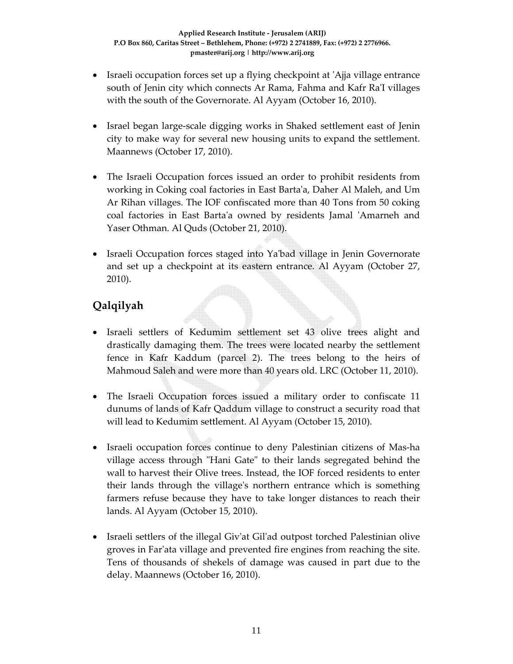- Israeli occupation forces set up a flying checkpoint at 'Ajja village entrance south of Jenin city which connects Ar Rama, Fahma and Kafr Ra'I villages with the south of the Governorate. Al Ayyam (October 16, 2010).
- Israel began large-scale digging works in Shaked settlement east of Jenin city to make way for several new housing units to expand the settlement. Maannews (October 17, 2010).
- The Israeli Occupation forces issued an order to prohibit residents from working in Coking coal factories in East Bartaʹa, Daher Al Maleh, and Um Ar Rihan villages. The IOF confiscated more than 40 Tons from 50 coking coal factories in East Bartaʹa owned by residents Jamal ʹAmarneh and Yaser Othman. Al Quds (October 21, 2010).
- Israeli Occupation forces staged into Ya'bad village in Jenin Governorate and set up a checkpoint at its eastern entrance. Al Ayyam (October 27, 2010).

# **Qalqilyah**

- Israeli settlers of Kedumim settlement set 43 olive trees alight and drastically damaging them. The trees were located nearby the settlement fence in Kafr Kaddum (parcel 2). The trees belong to the heirs of Mahmoud Saleh and were more than 40 years old. LRC (October 11, 2010).
- The Israeli Occupation forces issued a military order to confiscate 11 dunums of lands of Kafr Qaddum village to construct a security road that will lead to Kedumim settlement. Al Ayyam (October 15, 2010).
- Israeli occupation forces continue to deny Palestinian citizens of Mas-ha village access through "Hani Gate" to their lands segregated behind the wall to harvest their Olive trees. Instead, the IOF forced residents to enter their lands through the villageʹs northern entrance which is something farmers refuse because they have to take longer distances to reach their lands. Al Ayyam (October 15, 2010).
- Israeli settlers of the illegal Giv'at Gil'ad outpost torched Palestinian olive groves in Farʹata village and prevented fire engines from reaching the site. Tens of thousands of shekels of damage was caused in part due to the delay. Maannews (October 16, 2010).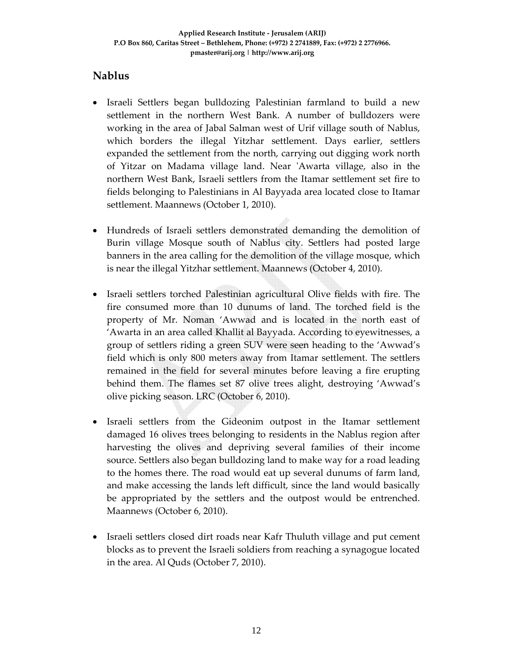# **Nablus**

- Israeli Settlers began bulldozing Palestinian farmland to build a new settlement in the northern West Bank. A number of bulldozers were working in the area of Jabal Salman west of Urif village south of Nablus, which borders the illegal Yitzhar settlement. Days earlier, settlers expanded the settlement from the north, carrying out digging work north of Yitzar on Madama village land. Near ʹAwarta village, also in the northern West Bank, Israeli settlers from the Itamar settlement set fire to fields belonging to Palestinians in Al Bayyada area located close to Itamar settlement. Maannews (October 1, 2010).
- Hundreds of Israeli settlers demonstrated demanding the demolition of Burin village Mosque south of Nablus city. Settlers had posted large banners in the area calling for the demolition of the village mosque, which is near the illegal Yitzhar settlement. Maannews (October 4, 2010).
- Israeli settlers torched Palestinian agricultural Olive fields with fire. The fire consumed more than 10 dunums of land. The torched field is the property of Mr. Noman 'Awwad and is located in the north east of 'Awarta in an area called Khallit al Bayyada. According to eyewitnesses, a group of settlers riding a green SUV were seen heading to the 'Awwad's field which is only 800 meters away from Itamar settlement. The settlers remained in the field for several minutes before leaving a fire erupting behind them. The flames set 87 olive trees alight, destroying 'Awwad's olive picking season. LRC (October 6, 2010).
- Israeli settlers from the Gideonim outpost in the Itamar settlement damaged 16 olives trees belonging to residents in the Nablus region after harvesting the olives and depriving several families of their income source. Settlers also began bulldozing land to make way for a road leading to the homes there. The road would eat up several dunums of farm land, and make accessing the lands left difficult, since the land would basically be appropriated by the settlers and the outpost would be entrenched. Maannews (October 6, 2010).
- Israeli settlers closed dirt roads near Kafr Thuluth village and put cement blocks as to prevent the Israeli soldiers from reaching a synagogue located in the area. Al Quds (October 7, 2010).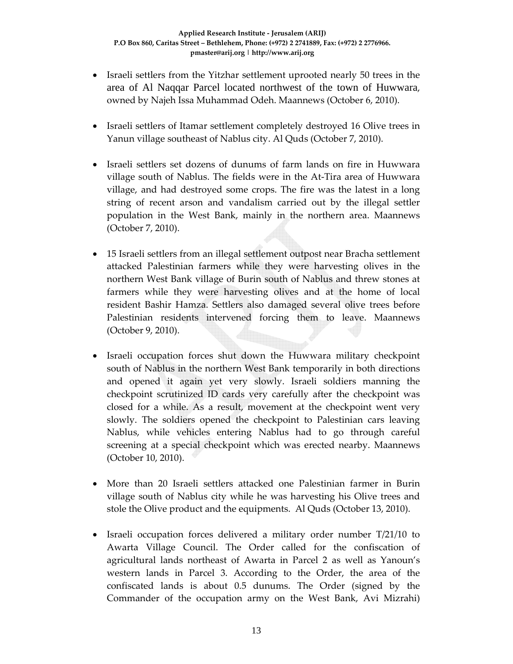- Israeli settlers from the Yitzhar settlement uprooted nearly 50 trees in the area of Al Naqqar Parcel located northwest of the town of Huwwara, owned by Najeh Issa Muhammad Odeh. Maannews (October 6, 2010).
- Israeli settlers of Itamar settlement completely destroyed 16 Olive trees in Yanun village southeast of Nablus city. Al Quds (October 7, 2010).
- Israeli settlers set dozens of dunums of farm lands on fire in Huwwara village south of Nablus. The fields were in the At‐Tira area of Huwwara village, and had destroyed some crops. The fire was the latest in a long string of recent arson and vandalism carried out by the illegal settler population in the West Bank, mainly in the northern area. Maannews (October 7, 2010).
- 15 Israeli settlers from an illegal settlement outpost near Bracha settlement attacked Palestinian farmers while they were harvesting olives in the northern West Bank village of Burin south of Nablus and threw stones at farmers while they were harvesting olives and at the home of local resident Bashir Hamza. Settlers also damaged several olive trees before Palestinian residents intervened forcing them to leave. Maannews (October 9, 2010).
- Israeli occupation forces shut down the Huwwara military checkpoint south of Nablus in the northern West Bank temporarily in both directions and opened it again yet very slowly. Israeli soldiers manning the checkpoint scrutinized ID cards very carefully after the checkpoint was closed for a while. As a result, movement at the checkpoint went very slowly. The soldiers opened the checkpoint to Palestinian cars leaving Nablus, while vehicles entering Nablus had to go through careful screening at a special checkpoint which was erected nearby. Maannews (October 10, 2010).
- More than 20 Israeli settlers attacked one Palestinian farmer in Burin village south of Nablus city while he was harvesting his Olive trees and stole the Olive product and the equipments. Al Quds (October 13, 2010).
- Israeli occupation forces delivered a military order number T/21/10 to Awarta Village Council. The Order called for the confiscation of agricultural lands northeast of Awarta in Parcel 2 as well as Yanoun's western lands in Parcel 3. According to the Order, the area of the confiscated lands is about 0.5 dunums. The Order (signed by the Commander of the occupation army on the West Bank, Avi Mizrahi)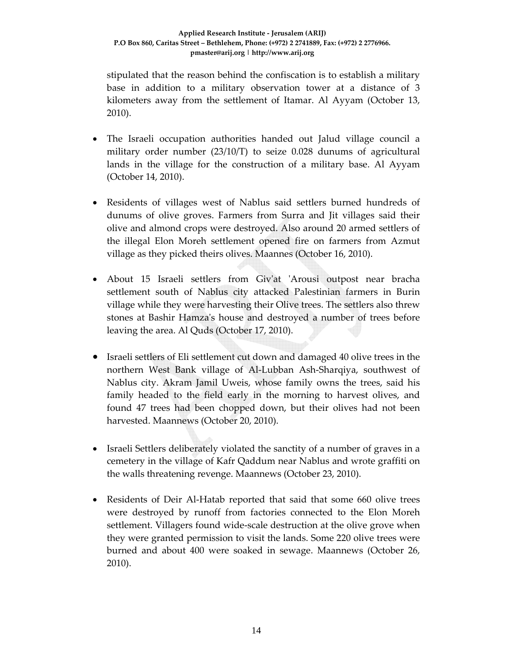stipulated that the reason behind the confiscation is to establish a military base in addition to a military observation tower at a distance of 3 kilometers away from the settlement of Itamar. Al Ayyam (October 13, 2010).

- The Israeli occupation authorities handed out Jalud village council a military order number (23/10/T) to seize 0.028 dunums of agricultural lands in the village for the construction of a military base. Al Ayyam (October 14, 2010).
- Residents of villages west of Nablus said settlers burned hundreds of dunums of olive groves. Farmers from Surra and Jit villages said their olive and almond crops were destroyed. Also around 20 armed settlers of the illegal Elon Moreh settlement opened fire on farmers from Azmut village as they picked theirs olives. Maannes (October 16, 2010).
- About 15 Israeli settlers from Giv'at 'Arousi outpost near bracha settlement south of Nablus city attacked Palestinian farmers in Burin village while they were harvesting their Olive trees. The settlers also threw stones at Bashir Hamzaʹs house and destroyed a number of trees before leaving the area. Al Quds (October 17, 2010).
- Israeli settlers of Eli settlement cut down and damaged 40 olive trees in the northern West Bank village of Al‐Lubban Ash‐Sharqiya, southwest of Nablus city. Akram Jamil Uweis, whose family owns the trees, said his family headed to the field early in the morning to harvest olives, and found 47 trees had been chopped down, but their olives had not been harvested. Maannews (October 20, 2010).
- Israeli Settlers deliberately violated the sanctity of a number of graves in a cemetery in the village of Kafr Qaddum near Nablus and wrote graffiti on the walls threatening revenge. Maannews (October 23, 2010).
- Residents of Deir Al-Hatab reported that said that some 660 olive trees were destroyed by runoff from factories connected to the Elon Moreh settlement. Villagers found wide-scale destruction at the olive grove when they were granted permission to visit the lands. Some 220 olive trees were burned and about 400 were soaked in sewage. Maannews (October 26, 2010).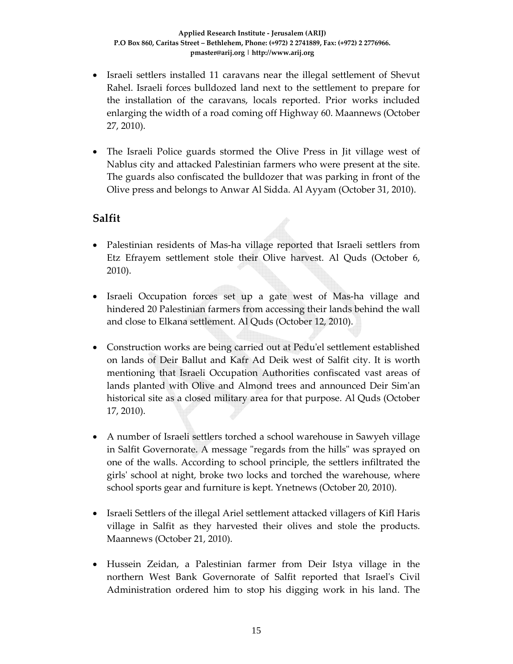- Israeli settlers installed 11 caravans near the illegal settlement of Shevut Rahel. Israeli forces bulldozed land next to the settlement to prepare for the installation of the caravans, locals reported. Prior works included enlarging the width of a road coming off Highway 60. Maannews (October 27, 2010).
- The Israeli Police guards stormed the Olive Press in Jit village west of Nablus city and attacked Palestinian farmers who were present at the site. The guards also confiscated the bulldozer that was parking in front of the Olive press and belongs to Anwar Al Sidda. Al Ayyam (October 31, 2010).

### **Salfit**

- Palestinian residents of Mas‐ha village reported that Israeli settlers from Etz Efrayem settlement stole their Olive harvest. Al Quds (October 6, 2010).
- Israeli Occupation forces set up a gate west of Mas‐ha village and hindered 20 Palestinian farmers from accessing their lands behind the wall and close to Elkana settlement. Al Quds (October 12, 2010).
- Construction works are being carried out at Pedu'el settlement established on lands of Deir Ballut and Kafr Ad Deik west of Salfit city. It is worth mentioning that Israeli Occupation Authorities confiscated vast areas of lands planted with Olive and Almond trees and announced Deir Simʹan historical site as a closed military area for that purpose. Al Quds (October 17, 2010).
- A number of Israeli settlers torched a school warehouse in Sawyeh village in Salfit Governorate. A message "regards from the hills" was sprayed on one of the walls. According to school principle, the settlers infiltrated the girlsʹ school at night, broke two locks and torched the warehouse, where school sports gear and furniture is kept. Ynetnews (October 20, 2010).
- Israeli Settlers of the illegal Ariel settlement attacked villagers of Kifl Haris village in Salfit as they harvested their olives and stole the products. Maannews (October 21, 2010).
- Hussein Zeidan, a Palestinian farmer from Deir Istya village in the northern West Bank Governorate of Salfit reported that Israelʹs Civil Administration ordered him to stop his digging work in his land. The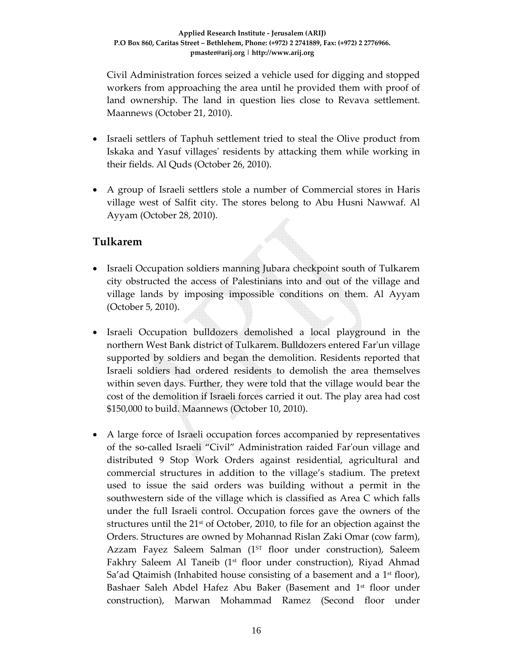Civil Administration forces seized a vehicle used for digging and stopped workers from approaching the area until he provided them with proof of land ownership. The land in question lies close to Revava settlement. Maannews (October 21, 2010).

- Israeli settlers of Taphuh settlement tried to steal the Olive product from Iskaka and Yasuf villagesʹ residents by attacking them while working in their fields. Al Quds (October 26, 2010).
- A group of Israeli settlers stole a number of Commercial stores in Haris village west of Salfit city. The stores belong to Abu Husni Nawwaf. Al Ayyam (October 28, 2010).

### **Tulkarem**

- Israeli Occupation soldiers manning Jubara checkpoint south of Tulkarem city obstructed the access of Palestinians into and out of the village and village lands by imposing impossible conditions on them. Al Ayyam (October 5, 2010).
- Israeli Occupation bulldozers demolished a local playground in the northern West Bank district of Tulkarem. Bulldozers entered Farʹun village supported by soldiers and began the demolition. Residents reported that Israeli soldiers had ordered residents to demolish the area themselves within seven days. Further, they were told that the village would bear the cost of the demolition if Israeli forces carried it out. The play area had cost \$150,000 to build. Maannews (October 10, 2010).
- A large force of Israeli occupation forces accompanied by representatives of the so‐called Israeli "Civil" Administration raided Farʹoun village and distributed 9 Stop Work Orders against residential, agricultural and commercial structures in addition to the village's stadium. The pretext used to issue the said orders was building without a permit in the southwestern side of the village which is classified as Area C which falls under the full Israeli control. Occupation forces gave the owners of the structures until the  $21<sup>st</sup>$  of October, 2010, to file for an objection against the Orders. Structures are owned by Mohannad Rislan Zaki Omar (cow farm), Azzam Fayez Saleem Salman  $(1^{ST}$  floor under construction), Saleem Fakhry Saleem Al Taneib (1<sup>st</sup> floor under construction), Riyad Ahmad Sa'ad Qtaimish (Inhabited house consisting of a basement and a  $1<sup>st</sup>$  floor), Bashaer Saleh Abdel Hafez Abu Baker (Basement and 1<sup>st</sup> floor under construction), Marwan Mohammad Ramez (Second floor under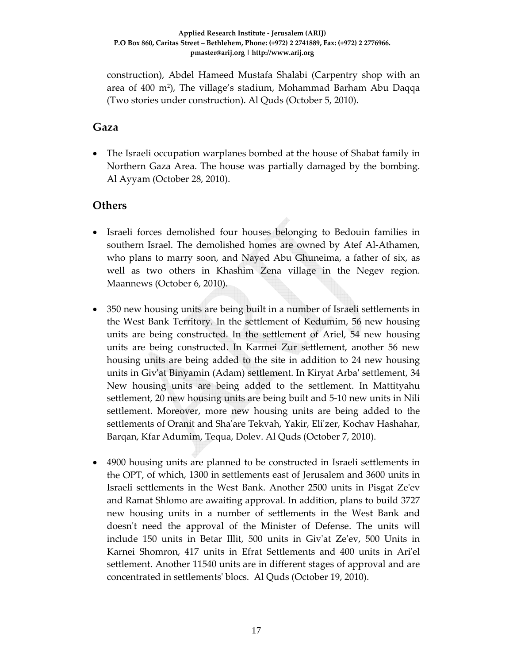construction), Abdel Hameed Mustafa Shalabi (Carpentry shop with an area of 400 m2), The village's stadium, Mohammad Barham Abu Daqqa (Two stories under construction). Al Quds (October 5, 2010).

#### **Gaza**

• The Israeli occupation warplanes bombed at the house of Shabat family in Northern Gaza Area. The house was partially damaged by the bombing. Al Ayyam (October 28, 2010).

#### **Others**

- Israeli forces demolished four houses belonging to Bedouin families in southern Israel. The demolished homes are owned by Atef Al‐Athamen, who plans to marry soon, and Nayed Abu Ghuneima, a father of six, as well as two others in Khashim Zena village in the Negev region. Maannews (October 6, 2010).
- 350 new housing units are being built in a number of Israeli settlements in the West Bank Territory. In the settlement of Kedumim, 56 new housing units are being constructed. In the settlement of Ariel, 54 new housing units are being constructed. In Karmei Zur settlement, another 56 new housing units are being added to the site in addition to 24 new housing units in Givʹat Binyamin (Adam) settlement. In Kiryat Arbaʹ settlement, 34 New housing units are being added to the settlement. In Mattityahu settlement, 20 new housing units are being built and 5‐10 new units in Nili settlement. Moreover, more new housing units are being added to the settlements of Oranit and Sha'are Tekvah, Yakir, Eli'zer, Kochav Hashahar, Barqan, Kfar Adumim, Tequa, Dolev. Al Quds (October 7, 2010).
- 4900 housing units are planned to be constructed in Israeli settlements in the OPT, of which, 1300 in settlements east of Jerusalem and 3600 units in Israeli settlements in the West Bank. Another 2500 units in Pisgat Zeʹev and Ramat Shlomo are awaiting approval. In addition, plans to build 3727 new housing units in a number of settlements in the West Bank and doesn't need the approval of the Minister of Defense. The units will include 150 units in Betar Illit, 500 units in Givʹat Zeʹev, 500 Units in Karnei Shomron, 417 units in Efrat Settlements and 400 units in Ariʹel settlement. Another 11540 units are in different stages of approval and are concentrated in settlementsʹ blocs. Al Quds (October 19, 2010).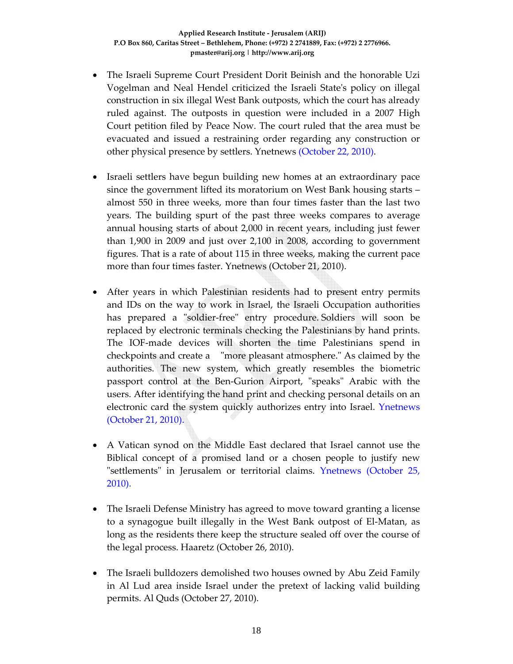- The Israeli Supreme Court President Dorit Beinish and the honorable Uzi Vogelman and Neal Hendel criticized the Israeli Stateʹs policy on illegal construction in six illegal West Bank outposts, which the court has already ruled against. The outposts in question were included in a 2007 High Court petition filed by Peace Now. The court ruled that the area must be evacuated and issued a restraining order regarding any construction or other physical presence by settlers. Ynetnews (October 22, 2010).
- Israeli settlers have begun building new homes at an extraordinary pace since the government lifted its moratorium on West Bank housing starts – almost 550 in three weeks, more than four times faster than the last two years. The building spurt of the past three weeks compares to average annual housing starts of about 2,000 in recent years, including just fewer than 1,900 in 2009 and just over 2,100 in 2008, according to government figures. That is a rate of about 115 in three weeks, making the current pace more than four times faster. Ynetnews (October 21, 2010).
- After years in which Palestinian residents had to present entry permits and IDs on the way to work in Israel, the Israeli Occupation authorities has prepared a "soldier-free" entry procedure. Soldiers will soon be replaced by electronic terminals checking the Palestinians by hand prints. The IOF‐made devices will shorten the time Palestinians spend in checkpoints and create a ʺmore pleasant atmosphere.ʺ As claimed by the authorities. The new system, which greatly resembles the biometric passport control at the Ben-Gurion Airport, "speaks" Arabic with the users. After identifying the hand print and checking personal details on an electronic card the system quickly authorizes entry into Israel. Ynetnews (October 21, 2010).
- A Vatican synod on the Middle East declared that Israel cannot use the Biblical concept of a promised land or a chosen people to justify new ʺsettlementsʺ in Jerusalem or territorial claims. Ynetnews (October 25, 2010).
- The Israeli Defense Ministry has agreed to move toward granting a license to a synagogue built illegally in the West Bank outpost of El‐Matan, as long as the residents there keep the structure sealed off over the course of the legal process. Haaretz (October 26, 2010).
- The Israeli bulldozers demolished two houses owned by Abu Zeid Family in Al Lud area inside Israel under the pretext of lacking valid building permits. Al Quds (October 27, 2010).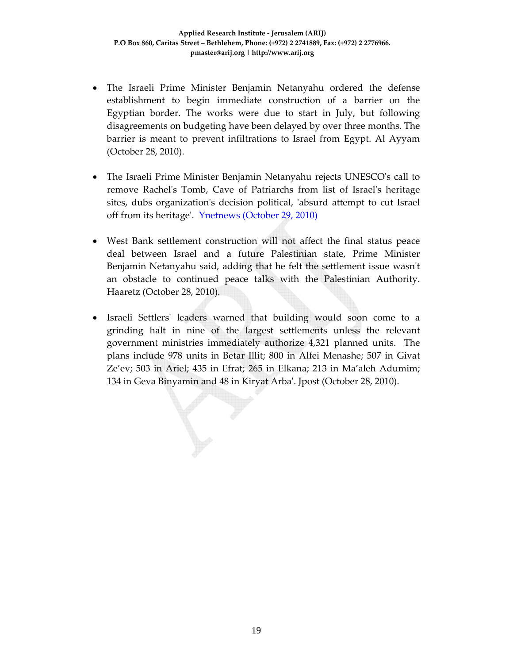- The Israeli Prime Minister Benjamin Netanyahu ordered the defense establishment to begin immediate construction of a barrier on the Egyptian border. The works were due to start in July, but following disagreements on budgeting have been delayed by over three months. The barrier is meant to prevent infiltrations to Israel from Egypt. Al Ayyam (October 28, 2010).
- The Israeli Prime Minister Benjamin Netanyahu rejects UNESCO's call to remove Rachelʹs Tomb, Cave of Patriarchs from list of Israelʹs heritage sites, dubs organization's decision political, 'absurd attempt to cut Israel off from its heritageʹ. Ynetnews (October 29, 2010)
- West Bank settlement construction will not affect the final status peace deal between Israel and a future Palestinian state, Prime Minister Benjamin Netanyahu said, adding that he felt the settlement issue wasn't an obstacle to continued peace talks with the Palestinian Authority. Haaretz (October 28, 2010).
- Israeli Settlersʹ leaders warned that building would soon come to a grinding halt in nine of the largest settlements unless the relevant government ministries immediately authorize 4,321 planned units. The plans include 978 units in Betar Illit; 800 in Alfei Menashe; 507 in Givat Ze'ev; 503 in Ariel; 435 in Efrat; 265 in Elkana; 213 in Ma'aleh Adumim; 134 in Geva Binyamin and 48 in Kiryat Arbaʹ. Jpost (October 28, 2010).